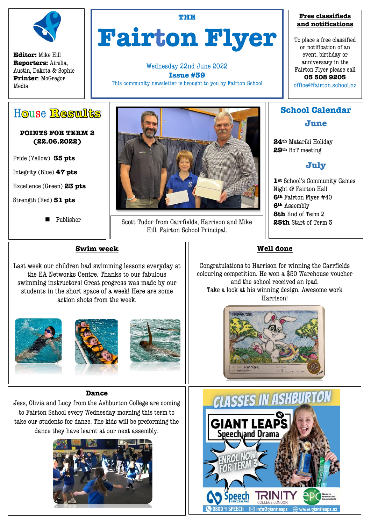

**Editor:** Mike Hill **Reporters:** Airelia, Austin, Dakota & Sophie **Printer**: McGregor Media

# **THE Fairton Flyer**

Wednesday 22nd June 2022 **Issue #39** This community newsletter is brought to you by Fairton School

#### **Free classifieds and notifications**

To place a free classified or notification of an event, birthday or anniversary in the Fairton Flyer please call **03 308 9205**  office@fairton.school.nz

House Results

#### **POINTS FOR TERM 2 (22.06.2022)**

Pride (Yellow) **35 pts**

Integrity (Blue) **47 pts** 

Excellence (Green) **23 pts**

Strength (Red) **51 pts** 

 $\overline{a}$ 

**Publisher** 



Scott Tudor from Carrfields, Harrison and Mike Hill, Fairton School Principal.

## **School Calendar**

**June** 

**24th** Matariki Holiday **29th** BoT meeting

# **July**

**1st** School's Community Games Night @ Fairton Hall **6th** Fairton Flyer #40 **6th** Assembly **8th** End of Term 2 **25th** Start of Term 3

#### **Swim week**

Last week our children had swimming lessons everyday at the EA Networks Centre. Thanks to our fabulous swimming instructors! Great progress was made by our students in the short space of a week! Here are some action shots from the week.







#### **Dance**

Jess, Olivia and Lucy from the Ashburton College are coming to Fairton School every Wednesday morning this term to take our students for dance. The kids will be preforming the dance they have learnt at our next assembly.



### **Well done**

Congratulations to Harrison for winning the Carrfields colouring competition. He won a \$50 Warehouse voucher and the school received an ipad. Take a look at his winning design. Awesome work Harrison!